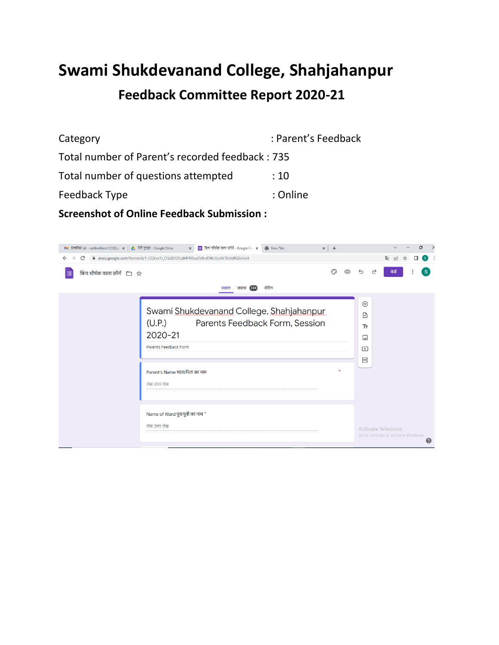# **Swami Shukdevanand College, Shahjahanpur Feedback Committee Report 2020-21**

| Category                                        | : Parent's Feedback |
|-------------------------------------------------|---------------------|
| Total number of Parent's recorded feedback: 735 |                     |
| Total number of questions attempted             | :10                 |
| Feedback Type                                   | : Online            |
|                                                 |                     |

**Screenshot of Online Feedback Submission :**

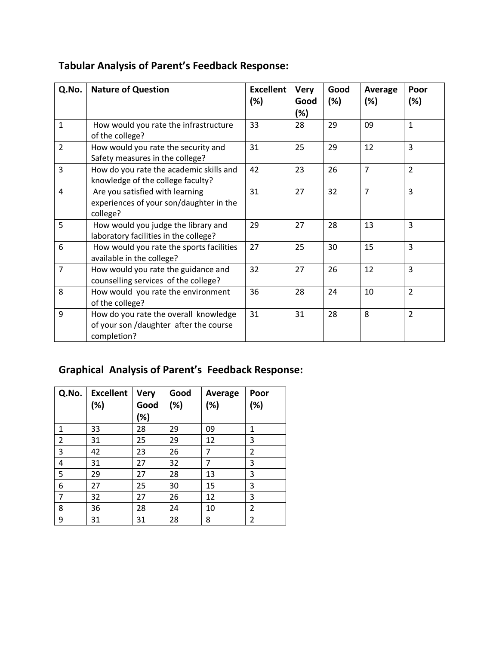| Q.No.          | <b>Nature of Question</b>                                                                      | <b>Excellent</b><br>(%) | <b>Very</b><br>Good<br>(%) | Good<br>(%) | Average<br>(%) | Poor<br>(%)    |
|----------------|------------------------------------------------------------------------------------------------|-------------------------|----------------------------|-------------|----------------|----------------|
| 1              | How would you rate the infrastructure<br>of the college?                                       | 33                      | 28                         | 29          | 09             | $\mathbf{1}$   |
| $\overline{2}$ | How would you rate the security and<br>Safety measures in the college?                         | 31                      | 25                         | 29          | 12             | $\overline{3}$ |
| 3              | How do you rate the academic skills and<br>knowledge of the college faculty?                   | 42                      | 23                         | 26          | $\overline{7}$ | $\overline{2}$ |
| 4              | Are you satisfied with learning<br>experiences of your son/daughter in the<br>college?         | 31                      | 27                         | 32          | $\overline{7}$ | $\overline{3}$ |
| 5              | How would you judge the library and<br>laboratory facilities in the college?                   | 29                      | 27                         | 28          | 13             | 3              |
| 6              | How would you rate the sports facilities<br>available in the college?                          | 27                      | 25                         | 30          | 15             | 3              |
| $\overline{7}$ | How would you rate the guidance and<br>counselling services of the college?                    | 32                      | 27                         | 26          | 12             | $\overline{3}$ |
| 8              | How would you rate the environment<br>of the college?                                          | 36                      | 28                         | 24          | 10             | $\overline{2}$ |
| 9              | How do you rate the overall knowledge<br>of your son /daughter after the course<br>completion? | 31                      | 31                         | 28          | 8              | $\overline{2}$ |

## **Tabular Analysis of Parent's Feedback Response:**

## **Graphical Analysis of Parent's Feedback Response:**

| Q.No.          | <b>Excellent</b><br>(%) | <b>Very</b><br>Good<br>(%) | Good<br>(%) | Average<br>(%) | Poor<br>(%) |
|----------------|-------------------------|----------------------------|-------------|----------------|-------------|
| 1              | 33                      | 28                         | 29          | 09             | 1           |
| $\overline{2}$ | 31                      | 25                         | 29          | 12             | 3           |
| 3              | 42                      | 23                         | 26          | 7              | 2           |
| 4              | 31                      | 27                         | 32          | 7              | 3           |
| 5              | 29                      | 27                         | 28          | 13             | 3           |
| 6              | 27                      | 25                         | 30          | 15             | 3           |
| 7              | 32                      | 27                         | 26          | 12             | 3           |
| 8              | 36                      | 28                         | 24          | 10             | 2           |
| 9              | 31                      | 31                         | 28          | 8              | 2           |